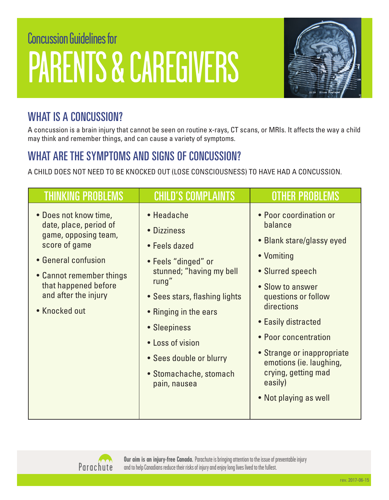# Concussion Guidelines for PARENTS & CAREGIVERS



# WHAT IS A CONCUSSION?

A concussion is a brain injury that cannot be seen on routine x-rays, CT scans, or MRIs. It affects the way a child may think and remember things, and can cause a variety of symptoms.

# WHAT ARE THE SYMPTOMS AND SIGNS OF CONCUSSION?

A CHILD DOES NOT NEED TO BE KNOCKED OUT (LOSE CONSCIOUSNESS) TO HAVE HAD A CONCUSSION.

| <b>THINKING PROBLEMS</b>                                                                                                                                                                                     | <b>CHILD'S COMPLAINTS</b>                                                                                                                                                                                                                                                 | <b>OTHER PROBLEMS</b>                                                                                                                                                                                                                                                                                                        |
|--------------------------------------------------------------------------------------------------------------------------------------------------------------------------------------------------------------|---------------------------------------------------------------------------------------------------------------------------------------------------------------------------------------------------------------------------------------------------------------------------|------------------------------------------------------------------------------------------------------------------------------------------------------------------------------------------------------------------------------------------------------------------------------------------------------------------------------|
| • Does not know time,<br>date, place, period of<br>game, opposing team,<br>score of game<br>• General confusion<br>• Cannot remember things<br>that happened before<br>and after the injury<br>• Knocked out | • Headache<br>• Dizziness<br>• Feels dazed<br>• Feels "dinged" or<br>stunned; "having my bell<br>rung"<br>• Sees stars, flashing lights<br>• Ringing in the ears<br>• Sleepiness<br>• Loss of vision<br>• Sees double or blurry<br>• Stomachache, stomach<br>pain, nausea | • Poor coordination or<br>balance<br>• Blank stare/glassy eyed<br>• Vomiting<br>• Slurred speech<br>• Slow to answer<br>questions or follow<br>directions<br>• Easily distracted<br>• Poor concentration<br>• Strange or inappropriate<br>emotions (ie. laughing,<br>crying, getting mad<br>easily)<br>• Not playing as well |



**Our aim is an injury-free Canada.** Parachute is bringing attention to the issue of preventable injury and to help Canadians reduce their risks of injury and enjoy long lives lived to the fullest.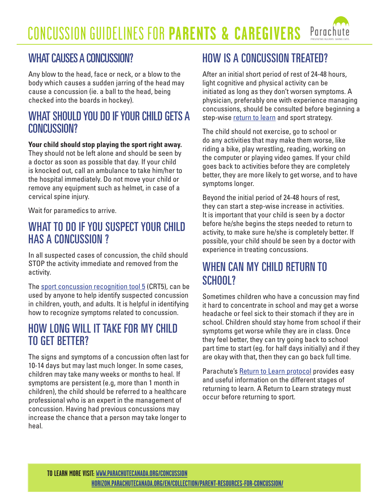#### CONCUSSION GUIDELINES FOR **PARENTS & CAREGIVERS** Parach

#### WHAT CAUSES A CONCUSSION?

Any blow to the head, face or neck, or a blow to the body which causes a sudden jarring of the head may cause a concussion (ie. a ball to the head, being checked into the boards in hockey).

#### WHAT SHOULD YOU DO IF YOUR CHILD GETS A CONCUSSION?

#### **Your child should stop playing the sport right away.**

They should not be left alone and should be seen by a doctor as soon as possible that day. If your child is knocked out, call an ambulance to take him/her to the hospital immediately. Do not move your child or remove any equipment such as helmet, in case of a cervical spine injury.

Wait for paramedics to arrive.

#### WHAT TO DO IF YOU SUSPECT YOUR CHILD HAS A CONCUSSION ?

In all suspected cases of concussion, the child should STOP the activity immediate and removed from the activity.

The [sport concussion recognition tool 5](http://horizon.parachutecanada.org/en/article/sport-concussion-recognition-tool-5-crt5/) (CRT5), can be used by anyone to help identify suspected concussion in children, youth, and adults. It is helpful in identifying how to recognize symptoms related to concussion.

#### HOW LONG WILL IT TAKE FOR MY CHILD TO GET BETTER?

The signs and symptoms of a concussion often last for 10-14 days but may last much longer. In some cases, children may take many weeks or months to heal. If symptoms are persistent (e.g, more than 1 month in children), the child should be referred to a healthcare professional who is an expert in the management of concussion. Having had previous concussions may increase the chance that a person may take longer to heal.

#### HOW IS A CONCUSSION TREATED?

After an initial short period of rest of 24-48 hours, light cognitive and physical activity can be initiated as long as they don't worsen symptoms. A physician, preferably one with experience managing concussions, should be consulted before beginning a step-wise [return to learn](http://horizon.parachutecanada.org/en/article/parachutes-return-to-learn-protocol/) and sport strategy.

The child should not exercise, go to school or do any activities that may make them worse, like riding a bike, play wrestling, reading, working on the computer or playing video games. If your child goes back to activities before they are completely better, they are more likely to get worse, and to have symptoms longer.

Beyond the initial period of 24-48 hours of rest, they can start a step-wise increase in activities. It is important that your child is seen by a doctor before he/she begins the steps needed to return to activity, to make sure he/she is completely better. If possible, your child should be seen by a doctor with experience in treating concussions.

#### WHEN CAN MY CHILD RETURN TO SCHOOL?

Sometimes children who have a concussion may find it hard to concentrate in school and may get a worse headache or feel sick to their stomach if they are in school. Children should stay home from school if their symptoms get worse while they are in class. Once they feel better, they can try going back to school part time to start (eg. for half days initially) and if they are okay with that, then they can go back full time.

Parachute's [Return to Learn protocol](http://horizon.parachutecanada.org/en/article/parachutes-return-to-learn-protocol/) provides easy and useful information on the different stages of returning to learn. A Return to Learn strategy must occur before returning to sport.